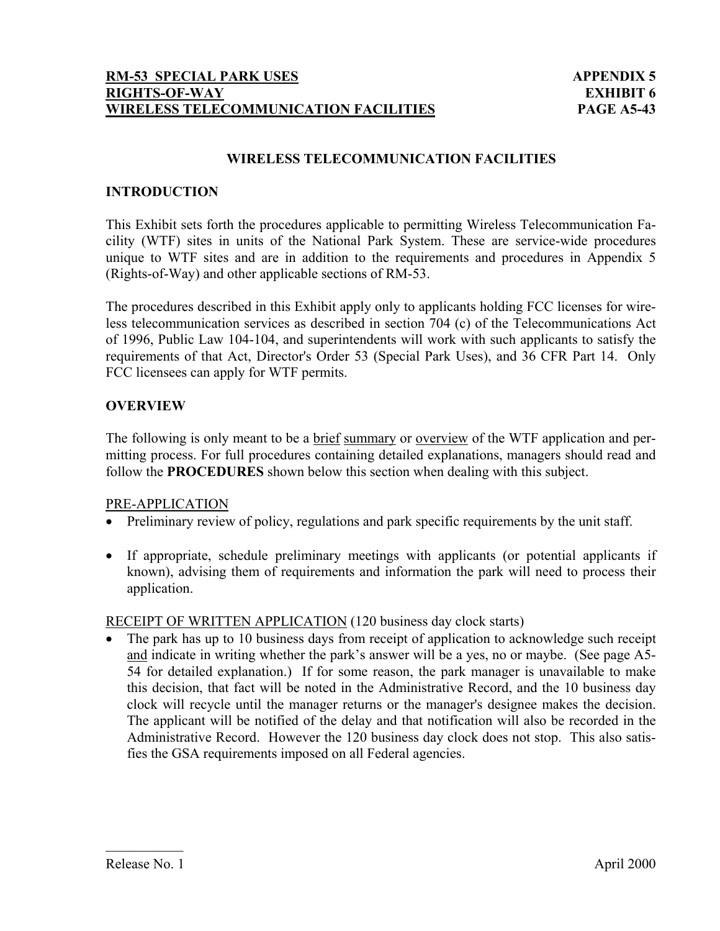#### **WIRELESS TELECOMMUNICATION FACILITIES**

#### **INTRODUCTION**

This Exhibit sets forth the procedures applicable to permitting Wireless Telecommunication Facility (WTF) sites in units of the National Park System. These are service-wide procedures unique to WTF sites and are in addition to the requirements and procedures in Appendix 5 (Rights-of-Way) and other applicable sections of RM-53.

The procedures described in this Exhibit apply only to applicants holding FCC licenses for wireless telecommunication services as described in section 704 (c) of the Telecommunications Act of 1996, Public Law 104-104, and superintendents will work with such applicants to satisfy the requirements of that Act, Director's Order 53 (Special Park Uses), and 36 CFR Part 14. Only FCC licensees can apply for WTF permits.

#### **OVERVIEW**

The following is only meant to be a brief summary or overview of the WTF application and permitting process. For full procedures containing detailed explanations, managers should read and follow the **PROCEDURES** shown below this section when dealing with this subject.

#### PRE-APPLICATION

- Preliminary review of policy, regulations and park specific requirements by the unit staff.
- If appropriate, schedule preliminary meetings with applicants (or potential applicants if known), advising them of requirements and information the park will need to process their application.

#### RECEIPT OF WRITTEN APPLICATION (120 business day clock starts)

• The park has up to 10 business days from receipt of application to acknowledge such receipt and indicate in writing whether the park's answer will be a yes, no or maybe. (See page A5- 54 for detailed explanation.) If for some reason, the park manager is unavailable to make this decision, that fact will be noted in the Administrative Record, and the 10 business day clock will recycle until the manager returns or the manager's designee makes the decision. The applicant will be notified of the delay and that notification will also be recorded in the Administrative Record. However the 120 business day clock does not stop. This also satisfies the GSA requirements imposed on all Federal agencies.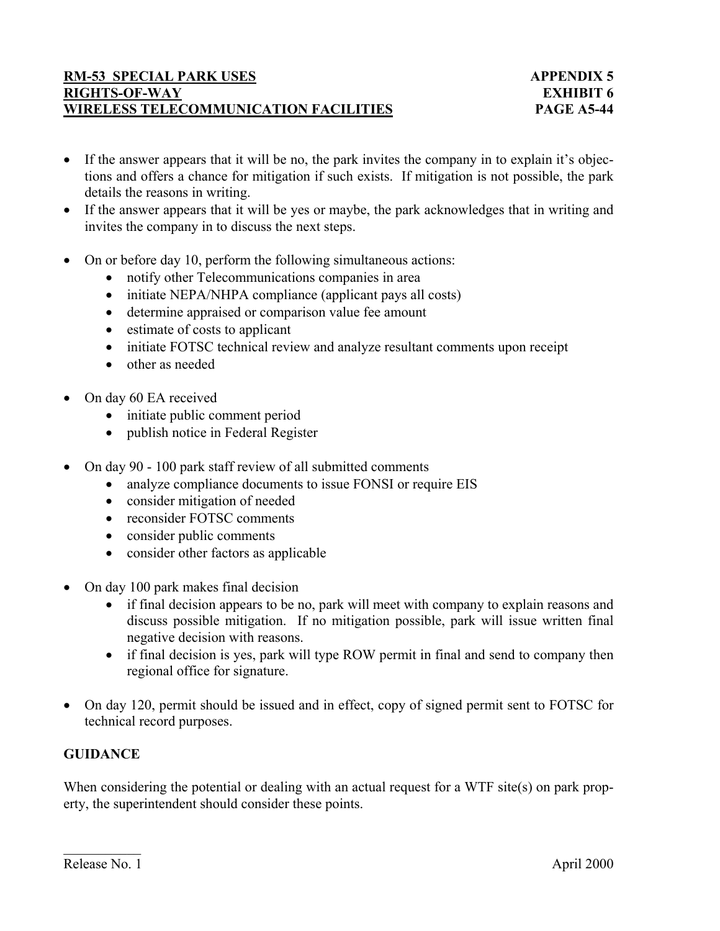- If the answer appears that it will be no, the park invites the company in to explain it's objections and offers a chance for mitigation if such exists. If mitigation is not possible, the park details the reasons in writing.
- If the answer appears that it will be yes or maybe, the park acknowledges that in writing and invites the company in to discuss the next steps.
- On or before day 10, perform the following simultaneous actions:
	- notify other Telecommunications companies in area
	- initiate NEPA/NHPA compliance (applicant pays all costs)
	- determine appraised or comparison value fee amount
	- estimate of costs to applicant
	- initiate FOTSC technical review and analyze resultant comments upon receipt
	- other as needed
- On day 60 EA received
	- initiate public comment period
	- publish notice in Federal Register
- On day 90 100 park staff review of all submitted comments
	- analyze compliance documents to issue FONSI or require EIS
	- consider mitigation of needed
	- reconsider FOTSC comments
	- consider public comments
	- consider other factors as applicable
- On day 100 park makes final decision
	- if final decision appears to be no, park will meet with company to explain reasons and discuss possible mitigation. If no mitigation possible, park will issue written final negative decision with reasons.
	- if final decision is yes, park will type ROW permit in final and send to company then regional office for signature.
- On day 120, permit should be issued and in effect, copy of signed permit sent to FOTSC for technical record purposes.

# **GUIDANCE**

When considering the potential or dealing with an actual request for a WTF site(s) on park property, the superintendent should consider these points.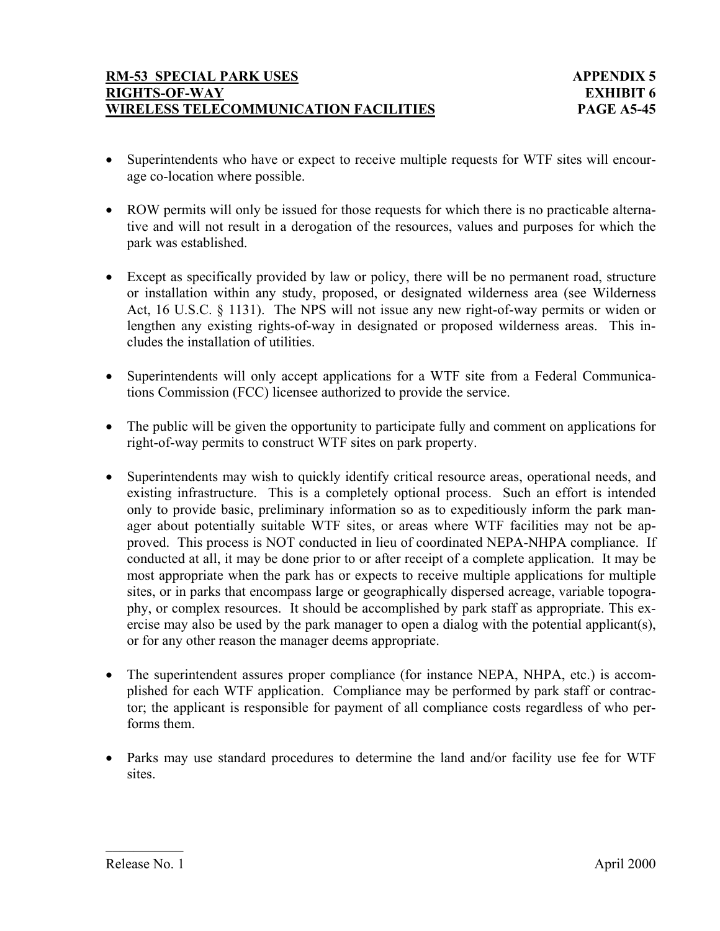- Superintendents who have or expect to receive multiple requests for WTF sites will encourage co-location where possible.
- ROW permits will only be issued for those requests for which there is no practicable alternative and will not result in a derogation of the resources, values and purposes for which the park was established.
- Except as specifically provided by law or policy, there will be no permanent road, structure or installation within any study, proposed, or designated wilderness area (see Wilderness Act, 16 U.S.C. § 1131). The NPS will not issue any new right-of-way permits or widen or lengthen any existing rights-of-way in designated or proposed wilderness areas. This includes the installation of utilities.
- Superintendents will only accept applications for a WTF site from a Federal Communications Commission (FCC) licensee authorized to provide the service.
- The public will be given the opportunity to participate fully and comment on applications for right-of-way permits to construct WTF sites on park property.
- Superintendents may wish to quickly identify critical resource areas, operational needs, and existing infrastructure. This is a completely optional process. Such an effort is intended only to provide basic, preliminary information so as to expeditiously inform the park manager about potentially suitable WTF sites, or areas where WTF facilities may not be approved. This process is NOT conducted in lieu of coordinated NEPA-NHPA compliance. If conducted at all, it may be done prior to or after receipt of a complete application. It may be most appropriate when the park has or expects to receive multiple applications for multiple sites, or in parks that encompass large or geographically dispersed acreage, variable topography, or complex resources. It should be accomplished by park staff as appropriate. This exercise may also be used by the park manager to open a dialog with the potential applicant(s), or for any other reason the manager deems appropriate.
- The superintendent assures proper compliance (for instance NEPA, NHPA, etc.) is accomplished for each WTF application. Compliance may be performed by park staff or contractor; the applicant is responsible for payment of all compliance costs regardless of who performs them.
- Parks may use standard procedures to determine the land and/or facility use fee for WTF sites.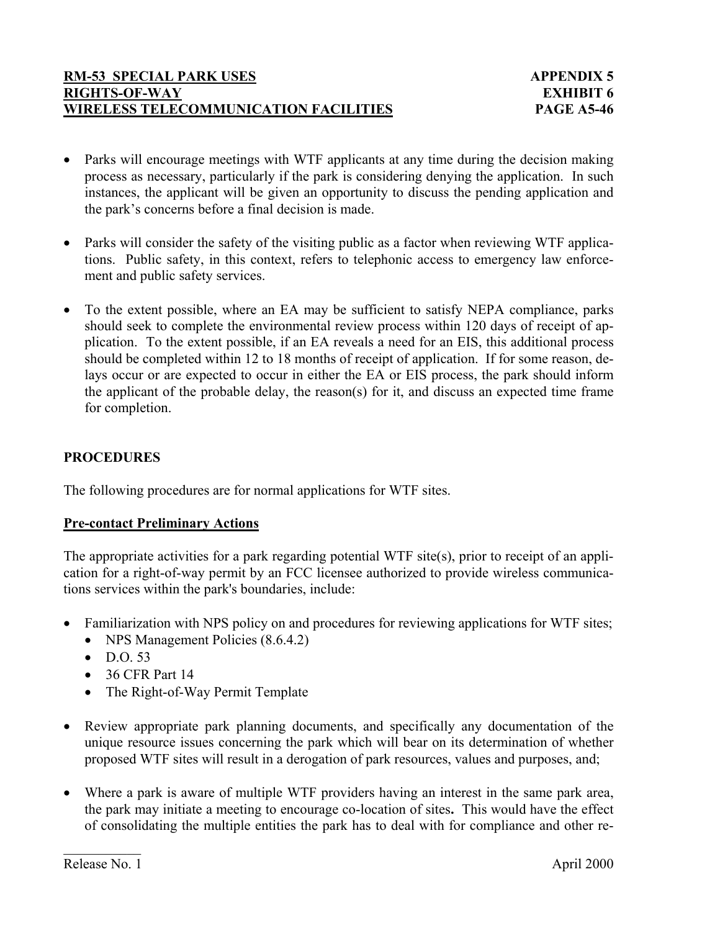- Parks will encourage meetings with WTF applicants at any time during the decision making process as necessary, particularly if the park is considering denying the application. In such instances, the applicant will be given an opportunity to discuss the pending application and the park's concerns before a final decision is made.
- Parks will consider the safety of the visiting public as a factor when reviewing WTF applications. Public safety, in this context, refers to telephonic access to emergency law enforcement and public safety services.
- To the extent possible, where an EA may be sufficient to satisfy NEPA compliance, parks should seek to complete the environmental review process within 120 days of receipt of application. To the extent possible, if an EA reveals a need for an EIS, this additional process should be completed within 12 to 18 months of receipt of application. If for some reason, delays occur or are expected to occur in either the EA or EIS process, the park should inform the applicant of the probable delay, the reason(s) for it, and discuss an expected time frame for completion.

# **PROCEDURES**

The following procedures are for normal applications for WTF sites.

# **Pre-contact Preliminary Actions**

The appropriate activities for a park regarding potential WTF site(s), prior to receipt of an application for a right-of-way permit by an FCC licensee authorized to provide wireless communications services within the park's boundaries, include:

- Familiarization with NPS policy on and procedures for reviewing applications for WTF sites;
	- NPS Management Policies (8.6.4.2)
	- $\bullet$  DO 53
	- 36 CFR Part 14
	- The Right-of-Way Permit Template
- Review appropriate park planning documents, and specifically any documentation of the unique resource issues concerning the park which will bear on its determination of whether proposed WTF sites will result in a derogation of park resources, values and purposes, and;
- Where a park is aware of multiple WTF providers having an interest in the same park area, the park may initiate a meeting to encourage co-location of sites**.** This would have the effect of consolidating the multiple entities the park has to deal with for compliance and other re-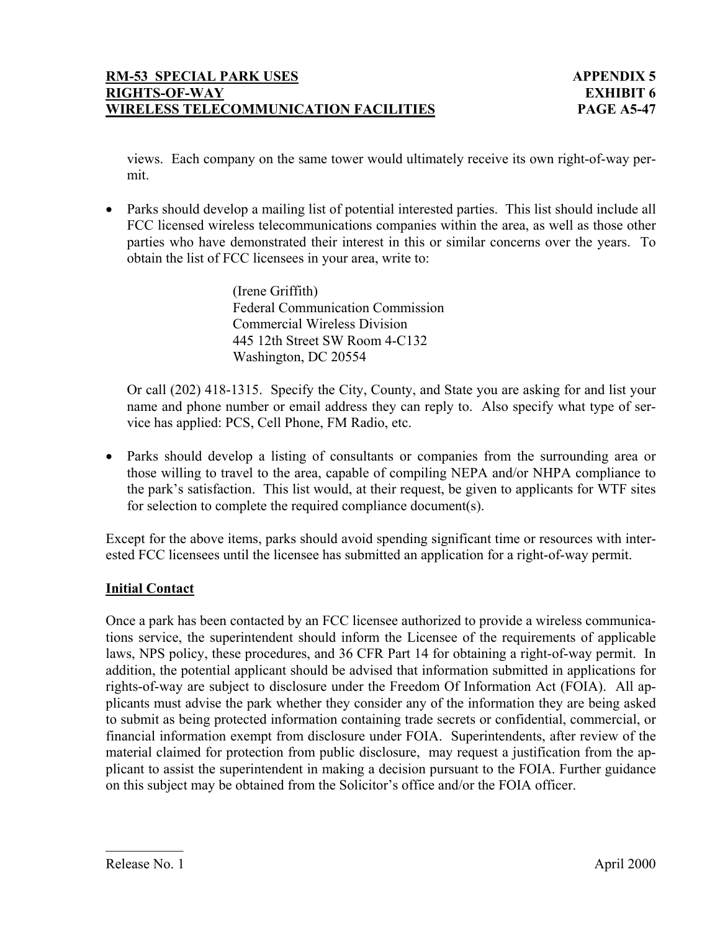views. Each company on the same tower would ultimately receive its own right-of-way permit.

• Parks should develop a mailing list of potential interested parties. This list should include all FCC licensed wireless telecommunications companies within the area, as well as those other parties who have demonstrated their interest in this or similar concerns over the years. To obtain the list of FCC licensees in your area, write to:

> (Irene Griffith) Federal Communication Commission Commercial Wireless Division 445 12th Street SW Room 4-C132 Washington, DC 20554

Or call (202) 418-1315. Specify the City, County, and State you are asking for and list your name and phone number or email address they can reply to. Also specify what type of service has applied: PCS, Cell Phone, FM Radio, etc.

• Parks should develop a listing of consultants or companies from the surrounding area or those willing to travel to the area, capable of compiling NEPA and/or NHPA compliance to the park's satisfaction. This list would, at their request, be given to applicants for WTF sites for selection to complete the required compliance document(s).

Except for the above items, parks should avoid spending significant time or resources with interested FCC licensees until the licensee has submitted an application for a right-of-way permit.

# **Initial Contact**

Once a park has been contacted by an FCC licensee authorized to provide a wireless communications service, the superintendent should inform the Licensee of the requirements of applicable laws, NPS policy, these procedures, and 36 CFR Part 14 for obtaining a right-of-way permit. In addition, the potential applicant should be advised that information submitted in applications for rights-of-way are subject to disclosure under the Freedom Of Information Act (FOIA). All applicants must advise the park whether they consider any of the information they are being asked to submit as being protected information containing trade secrets or confidential, commercial, or financial information exempt from disclosure under FOIA. Superintendents, after review of the material claimed for protection from public disclosure, may request a justification from the applicant to assist the superintendent in making a decision pursuant to the FOIA. Further guidance on this subject may be obtained from the Solicitor's office and/or the FOIA officer.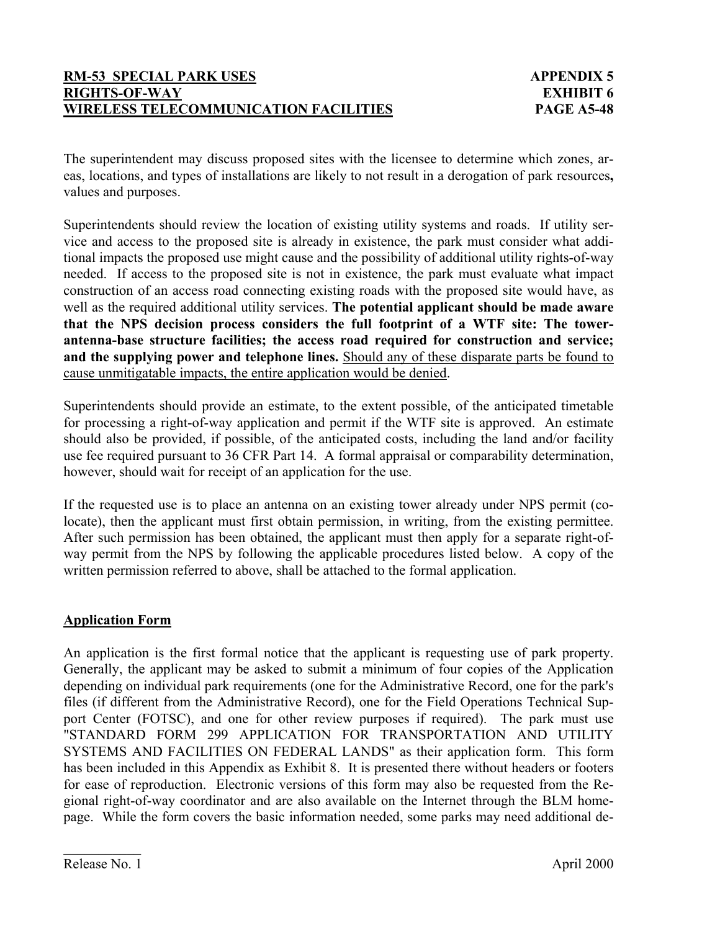The superintendent may discuss proposed sites with the licensee to determine which zones, areas, locations, and types of installations are likely to not result in a derogation of park resources**,** values and purposes.

Superintendents should review the location of existing utility systems and roads. If utility service and access to the proposed site is already in existence, the park must consider what additional impacts the proposed use might cause and the possibility of additional utility rights-of-way needed. If access to the proposed site is not in existence, the park must evaluate what impact construction of an access road connecting existing roads with the proposed site would have, as well as the required additional utility services. **The potential applicant should be made aware that the NPS decision process considers the full footprint of a WTF site: The towerantenna-base structure facilities; the access road required for construction and service; and the supplying power and telephone lines.** Should any of these disparate parts be found to cause unmitigatable impacts, the entire application would be denied.

Superintendents should provide an estimate, to the extent possible, of the anticipated timetable for processing a right-of-way application and permit if the WTF site is approved. An estimate should also be provided, if possible, of the anticipated costs, including the land and/or facility use fee required pursuant to 36 CFR Part 14. A formal appraisal or comparability determination, however, should wait for receipt of an application for the use.

If the requested use is to place an antenna on an existing tower already under NPS permit (colocate), then the applicant must first obtain permission, in writing, from the existing permittee. After such permission has been obtained, the applicant must then apply for a separate right-ofway permit from the NPS by following the applicable procedures listed below. A copy of the written permission referred to above, shall be attached to the formal application.

# **Application Form**

An application is the first formal notice that the applicant is requesting use of park property. Generally, the applicant may be asked to submit a minimum of four copies of the Application depending on individual park requirements (one for the Administrative Record, one for the park's files (if different from the Administrative Record), one for the Field Operations Technical Support Center (FOTSC), and one for other review purposes if required). The park must use "STANDARD FORM 299 APPLICATION FOR TRANSPORTATION AND UTILITY SYSTEMS AND FACILITIES ON FEDERAL LANDS" as their application form. This form has been included in this Appendix as Exhibit 8. It is presented there without headers or footers for ease of reproduction. Electronic versions of this form may also be requested from the Regional right-of-way coordinator and are also available on the Internet through the BLM homepage. While the form covers the basic information needed, some parks may need additional de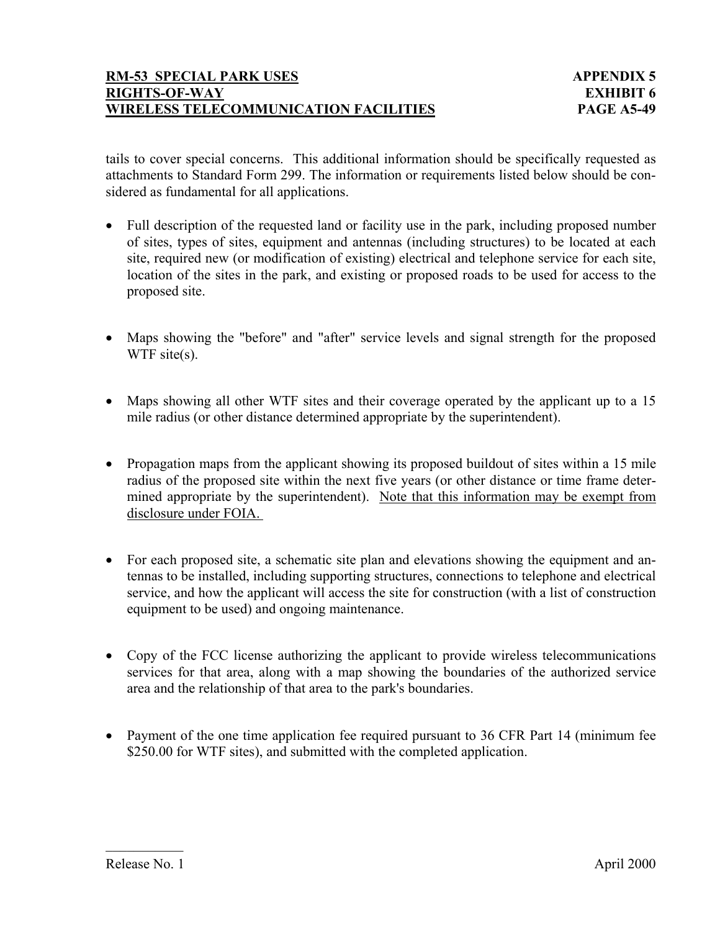tails to cover special concerns. This additional information should be specifically requested as attachments to Standard Form 299. The information or requirements listed below should be considered as fundamental for all applications.

- Full description of the requested land or facility use in the park, including proposed number of sites, types of sites, equipment and antennas (including structures) to be located at each site, required new (or modification of existing) electrical and telephone service for each site, location of the sites in the park, and existing or proposed roads to be used for access to the proposed site.
- Maps showing the "before" and "after" service levels and signal strength for the proposed WTF site(s).
- Maps showing all other WTF sites and their coverage operated by the applicant up to a 15 mile radius (or other distance determined appropriate by the superintendent).
- Propagation maps from the applicant showing its proposed buildout of sites within a 15 mile radius of the proposed site within the next five years (or other distance or time frame determined appropriate by the superintendent). Note that this information may be exempt from disclosure under FOIA.
- For each proposed site, a schematic site plan and elevations showing the equipment and antennas to be installed, including supporting structures, connections to telephone and electrical service, and how the applicant will access the site for construction (with a list of construction equipment to be used) and ongoing maintenance.
- Copy of the FCC license authorizing the applicant to provide wireless telecommunications services for that area, along with a map showing the boundaries of the authorized service area and the relationship of that area to the park's boundaries.
- Payment of the one time application fee required pursuant to 36 CFR Part 14 (minimum fee \$250.00 for WTF sites), and submitted with the completed application.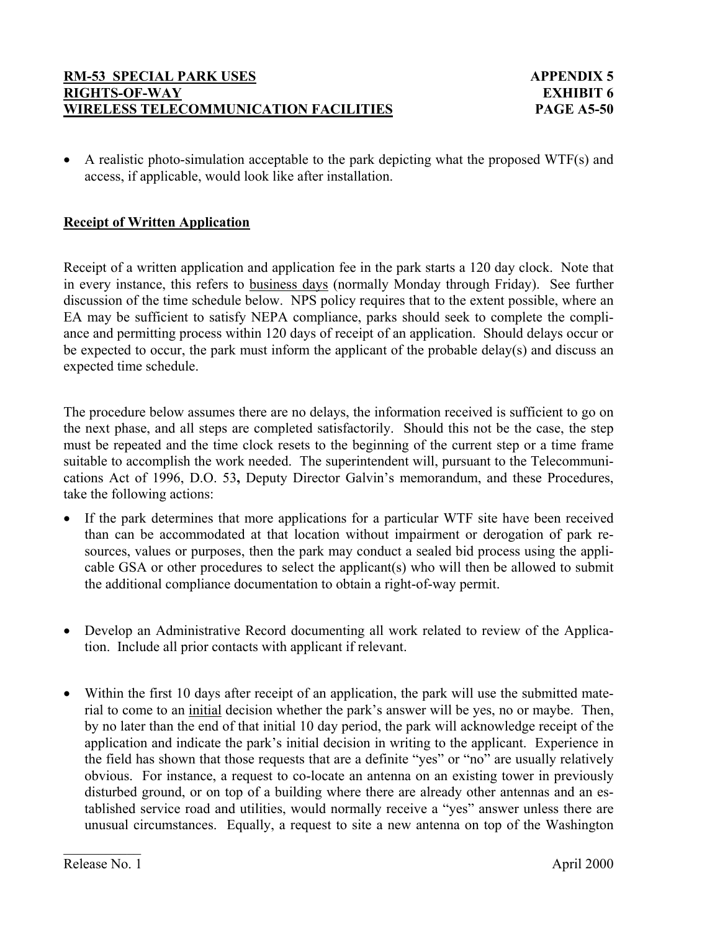• A realistic photo-simulation acceptable to the park depicting what the proposed WTF(s) and access, if applicable, would look like after installation.

## **Receipt of Written Application**

Receipt of a written application and application fee in the park starts a 120 day clock. Note that in every instance, this refers to business days (normally Monday through Friday). See further discussion of the time schedule below. NPS policy requires that to the extent possible, where an EA may be sufficient to satisfy NEPA compliance, parks should seek to complete the compliance and permitting process within 120 days of receipt of an application. Should delays occur or be expected to occur, the park must inform the applicant of the probable delay(s) and discuss an expected time schedule.

The procedure below assumes there are no delays, the information received is sufficient to go on the next phase, and all steps are completed satisfactorily. Should this not be the case, the step must be repeated and the time clock resets to the beginning of the current step or a time frame suitable to accomplish the work needed. The superintendent will, pursuant to the Telecommunications Act of 1996, D.O. 53**,** Deputy Director Galvin's memorandum, and these Procedures, take the following actions:

- If the park determines that more applications for a particular WTF site have been received than can be accommodated at that location without impairment or derogation of park resources, values or purposes, then the park may conduct a sealed bid process using the applicable GSA or other procedures to select the applicant(s) who will then be allowed to submit the additional compliance documentation to obtain a right-of-way permit.
- Develop an Administrative Record documenting all work related to review of the Application. Include all prior contacts with applicant if relevant.
- Within the first 10 days after receipt of an application, the park will use the submitted material to come to an initial decision whether the park's answer will be yes, no or maybe. Then, by no later than the end of that initial 10 day period, the park will acknowledge receipt of the application and indicate the park's initial decision in writing to the applicant. Experience in the field has shown that those requests that are a definite "yes" or "no" are usually relatively obvious. For instance, a request to co-locate an antenna on an existing tower in previously disturbed ground, or on top of a building where there are already other antennas and an established service road and utilities, would normally receive a "yes" answer unless there are unusual circumstances. Equally, a request to site a new antenna on top of the Washington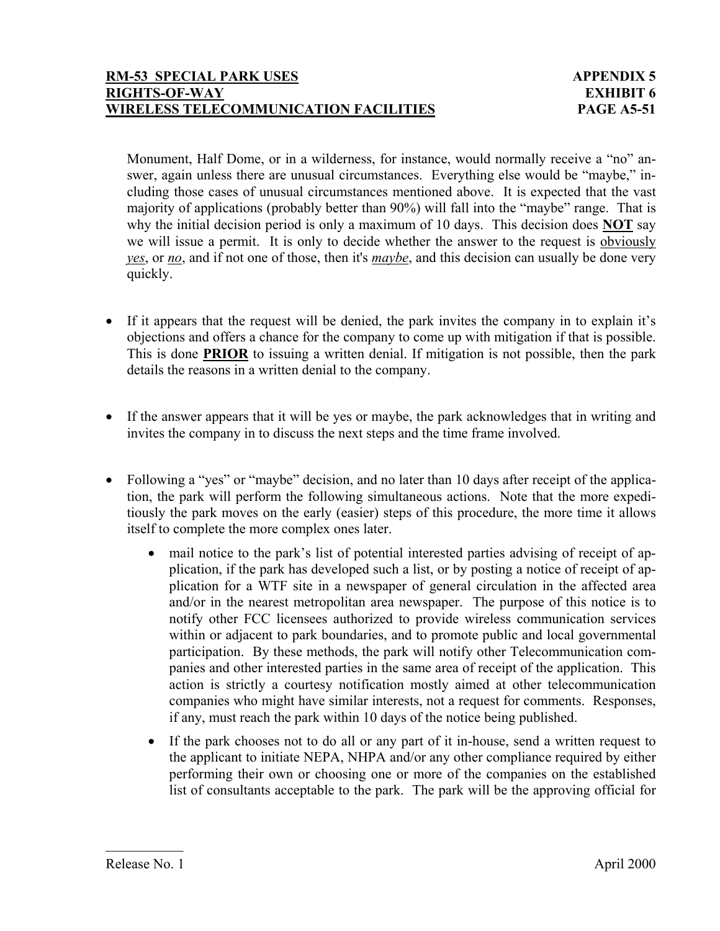Monument, Half Dome, or in a wilderness, for instance, would normally receive a "no" answer, again unless there are unusual circumstances. Everything else would be "maybe," including those cases of unusual circumstances mentioned above. It is expected that the vast majority of applications (probably better than 90%) will fall into the "maybe" range. That is why the initial decision period is only a maximum of 10 days. This decision does **NOT** say we will issue a permit. It is only to decide whether the answer to the request is obviously *yes*, or *no*, and if not one of those, then it's *maybe*, and this decision can usually be done very quickly.

- If it appears that the request will be denied, the park invites the company in to explain it's objections and offers a chance for the company to come up with mitigation if that is possible. This is done **PRIOR** to issuing a written denial. If mitigation is not possible, then the park details the reasons in a written denial to the company.
- If the answer appears that it will be yes or maybe, the park acknowledges that in writing and invites the company in to discuss the next steps and the time frame involved.
- Following a "yes" or "maybe" decision, and no later than 10 days after receipt of the application, the park will perform the following simultaneous actions. Note that the more expeditiously the park moves on the early (easier) steps of this procedure, the more time it allows itself to complete the more complex ones later.
	- mail notice to the park's list of potential interested parties advising of receipt of application, if the park has developed such a list, or by posting a notice of receipt of application for a WTF site in a newspaper of general circulation in the affected area and/or in the nearest metropolitan area newspaper. The purpose of this notice is to notify other FCC licensees authorized to provide wireless communication services within or adjacent to park boundaries, and to promote public and local governmental participation. By these methods, the park will notify other Telecommunication companies and other interested parties in the same area of receipt of the application. This action is strictly a courtesy notification mostly aimed at other telecommunication companies who might have similar interests, not a request for comments. Responses, if any, must reach the park within 10 days of the notice being published.
	- If the park chooses not to do all or any part of it in-house, send a written request to the applicant to initiate NEPA, NHPA and/or any other compliance required by either performing their own or choosing one or more of the companies on the established list of consultants acceptable to the park. The park will be the approving official for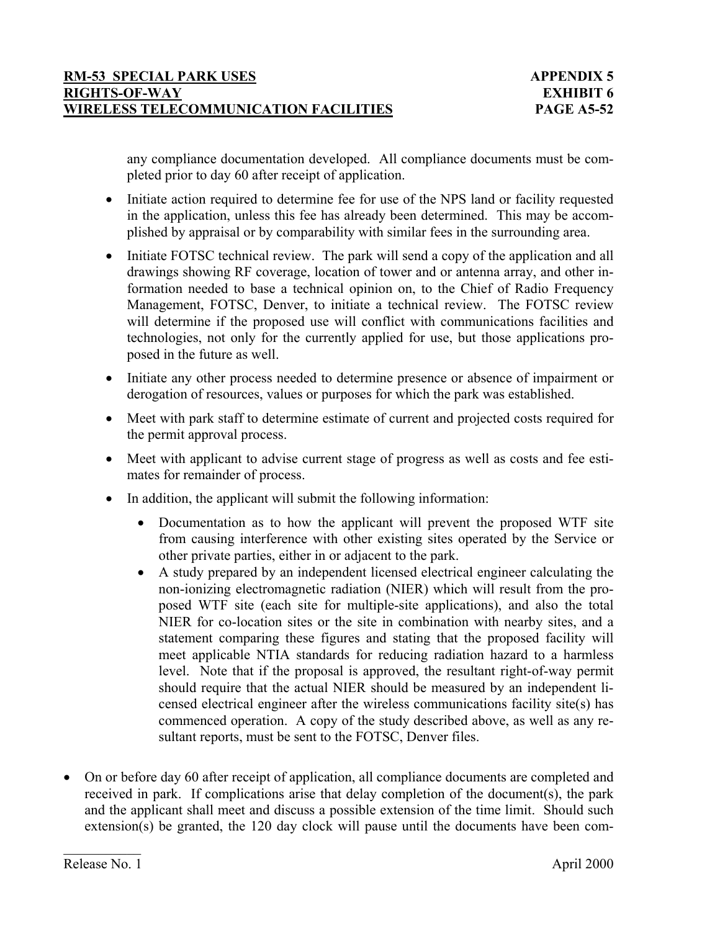any compliance documentation developed. All compliance documents must be completed prior to day 60 after receipt of application.

- Initiate action required to determine fee for use of the NPS land or facility requested in the application, unless this fee has already been determined. This may be accomplished by appraisal or by comparability with similar fees in the surrounding area.
- Initiate FOTSC technical review. The park will send a copy of the application and all drawings showing RF coverage, location of tower and or antenna array, and other information needed to base a technical opinion on, to the Chief of Radio Frequency Management, FOTSC, Denver, to initiate a technical review. The FOTSC review will determine if the proposed use will conflict with communications facilities and technologies, not only for the currently applied for use, but those applications proposed in the future as well.
- Initiate any other process needed to determine presence or absence of impairment or derogation of resources, values or purposes for which the park was established.
- Meet with park staff to determine estimate of current and projected costs required for the permit approval process.
- Meet with applicant to advise current stage of progress as well as costs and fee estimates for remainder of process.
- In addition, the applicant will submit the following information:
	- Documentation as to how the applicant will prevent the proposed WTF site from causing interference with other existing sites operated by the Service or other private parties, either in or adjacent to the park.
	- A study prepared by an independent licensed electrical engineer calculating the non-ionizing electromagnetic radiation (NIER) which will result from the proposed WTF site (each site for multiple-site applications), and also the total NIER for co-location sites or the site in combination with nearby sites, and a statement comparing these figures and stating that the proposed facility will meet applicable NTIA standards for reducing radiation hazard to a harmless level. Note that if the proposal is approved, the resultant right-of-way permit should require that the actual NIER should be measured by an independent licensed electrical engineer after the wireless communications facility site(s) has commenced operation. A copy of the study described above, as well as any resultant reports, must be sent to the FOTSC, Denver files.
- On or before day 60 after receipt of application, all compliance documents are completed and received in park. If complications arise that delay completion of the document(s), the park and the applicant shall meet and discuss a possible extension of the time limit. Should such extension(s) be granted, the 120 day clock will pause until the documents have been com-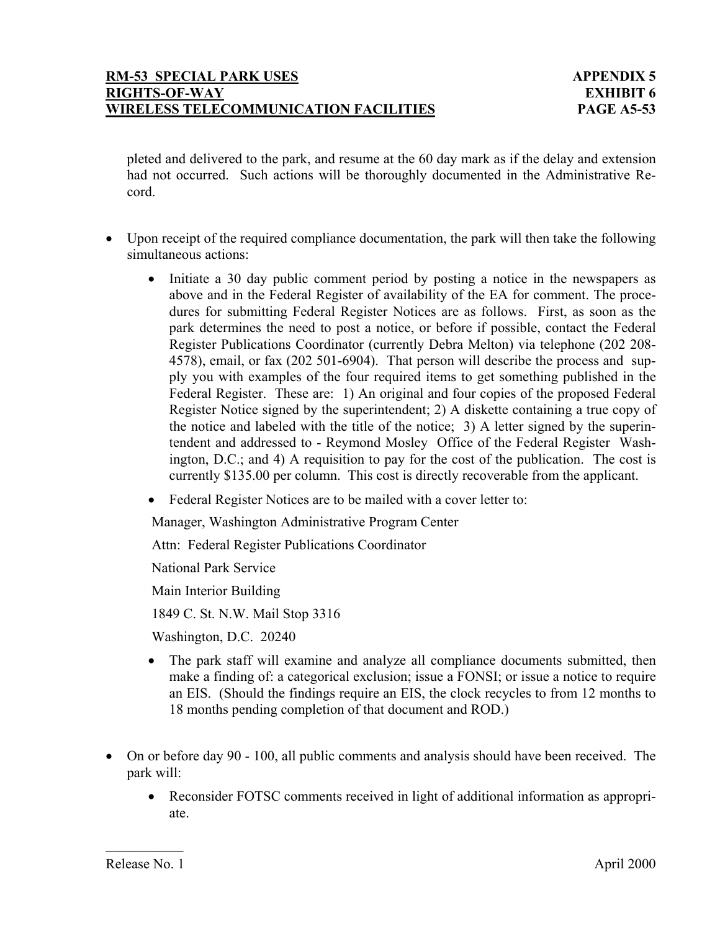pleted and delivered to the park, and resume at the 60 day mark as if the delay and extension had not occurred. Such actions will be thoroughly documented in the Administrative Record.

- Upon receipt of the required compliance documentation, the park will then take the following simultaneous actions:
	- Initiate a 30 day public comment period by posting a notice in the newspapers as above and in the Federal Register of availability of the EA for comment. The procedures for submitting Federal Register Notices are as follows. First, as soon as the park determines the need to post a notice, or before if possible, contact the Federal Register Publications Coordinator (currently Debra Melton) via telephone (202 208- 4578), email, or fax (202 501-6904). That person will describe the process and supply you with examples of the four required items to get something published in the Federal Register. These are: 1) An original and four copies of the proposed Federal Register Notice signed by the superintendent; 2) A diskette containing a true copy of the notice and labeled with the title of the notice; 3) A letter signed by the superintendent and addressed to - Reymond Mosley Office of the Federal Register Washington, D.C.; and 4) A requisition to pay for the cost of the publication. The cost is currently \$135.00 per column. This cost is directly recoverable from the applicant.
	- Federal Register Notices are to be mailed with a cover letter to:

Manager, Washington Administrative Program Center

Attn: Federal Register Publications Coordinator

National Park Service

Main Interior Building

1849 C. St. N.W. Mail Stop 3316

Washington, D.C. 20240

- The park staff will examine and analyze all compliance documents submitted, then make a finding of: a categorical exclusion; issue a FONSI; or issue a notice to require an EIS. (Should the findings require an EIS, the clock recycles to from 12 months to 18 months pending completion of that document and ROD.)
- On or before day 90 100, all public comments and analysis should have been received. The park will:
	- Reconsider FOTSC comments received in light of additional information as appropriate.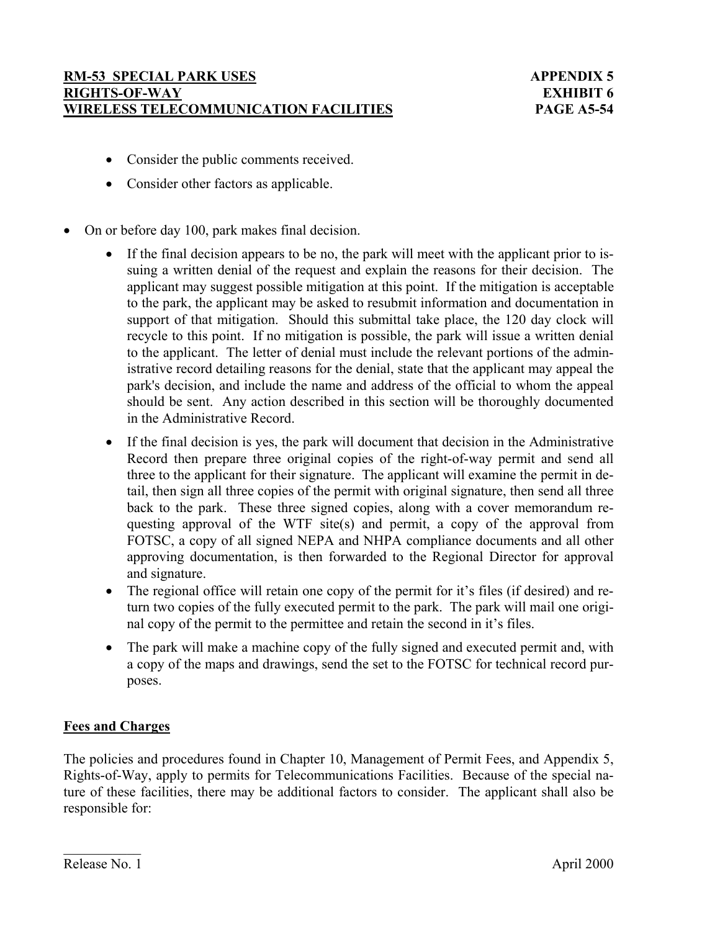- Consider the public comments received.
- Consider other factors as applicable.
- On or before day 100, park makes final decision.
	- If the final decision appears to be no, the park will meet with the applicant prior to issuing a written denial of the request and explain the reasons for their decision. The applicant may suggest possible mitigation at this point. If the mitigation is acceptable to the park, the applicant may be asked to resubmit information and documentation in support of that mitigation. Should this submittal take place, the 120 day clock will recycle to this point. If no mitigation is possible, the park will issue a written denial to the applicant. The letter of denial must include the relevant portions of the administrative record detailing reasons for the denial, state that the applicant may appeal the park's decision, and include the name and address of the official to whom the appeal should be sent. Any action described in this section will be thoroughly documented in the Administrative Record.
	- If the final decision is yes, the park will document that decision in the Administrative Record then prepare three original copies of the right-of-way permit and send all three to the applicant for their signature. The applicant will examine the permit in detail, then sign all three copies of the permit with original signature, then send all three back to the park. These three signed copies, along with a cover memorandum requesting approval of the WTF site(s) and permit, a copy of the approval from FOTSC, a copy of all signed NEPA and NHPA compliance documents and all other approving documentation, is then forwarded to the Regional Director for approval and signature.
	- The regional office will retain one copy of the permit for it's files (if desired) and return two copies of the fully executed permit to the park. The park will mail one original copy of the permit to the permittee and retain the second in it's files.
	- The park will make a machine copy of the fully signed and executed permit and, with a copy of the maps and drawings, send the set to the FOTSC for technical record purposes.

# **Fees and Charges**

The policies and procedures found in Chapter 10, Management of Permit Fees, and Appendix 5, Rights-of-Way, apply to permits for Telecommunications Facilities. Because of the special nature of these facilities, there may be additional factors to consider. The applicant shall also be responsible for: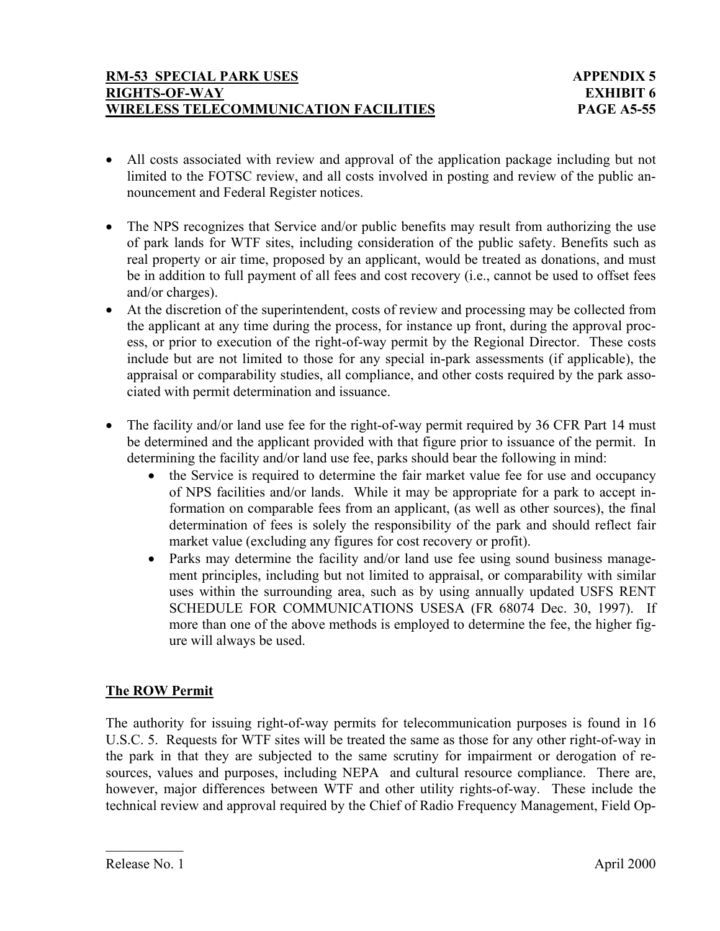- All costs associated with review and approval of the application package including but not limited to the FOTSC review, and all costs involved in posting and review of the public announcement and Federal Register notices.
- The NPS recognizes that Service and/or public benefits may result from authorizing the use of park lands for WTF sites, including consideration of the public safety. Benefits such as real property or air time, proposed by an applicant, would be treated as donations, and must be in addition to full payment of all fees and cost recovery (i.e., cannot be used to offset fees and/or charges).
- At the discretion of the superintendent, costs of review and processing may be collected from the applicant at any time during the process, for instance up front, during the approval process, or prior to execution of the right-of-way permit by the Regional Director. These costs include but are not limited to those for any special in-park assessments (if applicable), the appraisal or comparability studies, all compliance, and other costs required by the park associated with permit determination and issuance.
- The facility and/or land use fee for the right-of-way permit required by 36 CFR Part 14 must be determined and the applicant provided with that figure prior to issuance of the permit. In determining the facility and/or land use fee, parks should bear the following in mind:
	- the Service is required to determine the fair market value fee for use and occupancy of NPS facilities and/or lands. While it may be appropriate for a park to accept information on comparable fees from an applicant, (as well as other sources), the final determination of fees is solely the responsibility of the park and should reflect fair market value (excluding any figures for cost recovery or profit).
	- Parks may determine the facility and/or land use fee using sound business management principles, including but not limited to appraisal, or comparability with similar uses within the surrounding area, such as by using annually updated USFS RENT SCHEDULE FOR COMMUNICATIONS USESA (FR 68074 Dec. 30, 1997). If more than one of the above methods is employed to determine the fee, the higher figure will always be used.

# **The ROW Permit**

The authority for issuing right-of-way permits for telecommunication purposes is found in 16 U.S.C. 5. Requests for WTF sites will be treated the same as those for any other right-of-way in the park in that they are subjected to the same scrutiny for impairment or derogation of resources, values and purposes, including NEPA and cultural resource compliance. There are, however, major differences between WTF and other utility rights-of-way. These include the technical review and approval required by the Chief of Radio Frequency Management, Field Op-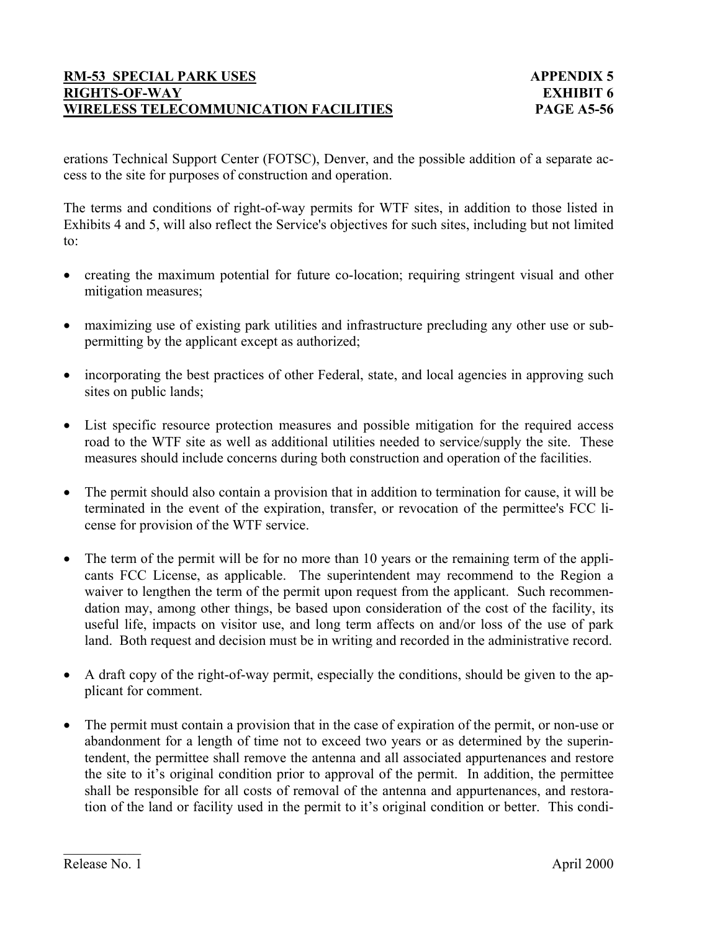erations Technical Support Center (FOTSC), Denver, and the possible addition of a separate access to the site for purposes of construction and operation.

The terms and conditions of right-of-way permits for WTF sites, in addition to those listed in Exhibits 4 and 5, will also reflect the Service's objectives for such sites, including but not limited to:

- creating the maximum potential for future co-location; requiring stringent visual and other mitigation measures;
- maximizing use of existing park utilities and infrastructure precluding any other use or subpermitting by the applicant except as authorized;
- incorporating the best practices of other Federal, state, and local agencies in approving such sites on public lands;
- List specific resource protection measures and possible mitigation for the required access road to the WTF site as well as additional utilities needed to service/supply the site.These measures should include concerns during both construction and operation of the facilities.
- The permit should also contain a provision that in addition to termination for cause, it will be terminated in the event of the expiration, transfer, or revocation of the permittee's FCC license for provision of the WTF service.
- The term of the permit will be for no more than 10 years or the remaining term of the applicants FCC License, as applicable.The superintendent may recommend to the Region a waiver to lengthen the term of the permit upon request from the applicant. Such recommendation may, among other things, be based upon consideration of the cost of the facility, its useful life, impacts on visitor use, and long term affects on and/or loss of the use of park land. Both request and decision must be in writing and recorded in the administrative record.
- A draft copy of the right-of-way permit, especially the conditions, should be given to the applicant for comment.
- The permit must contain a provision that in the case of expiration of the permit, or non-use or abandonment for a length of time not to exceed two years or as determined by the superintendent, the permittee shall remove the antenna and all associated appurtenances and restore the site to it's original condition prior to approval of the permit. In addition, the permittee shall be responsible for all costs of removal of the antenna and appurtenances, and restoration of the land or facility used in the permit to it's original condition or better. This condi-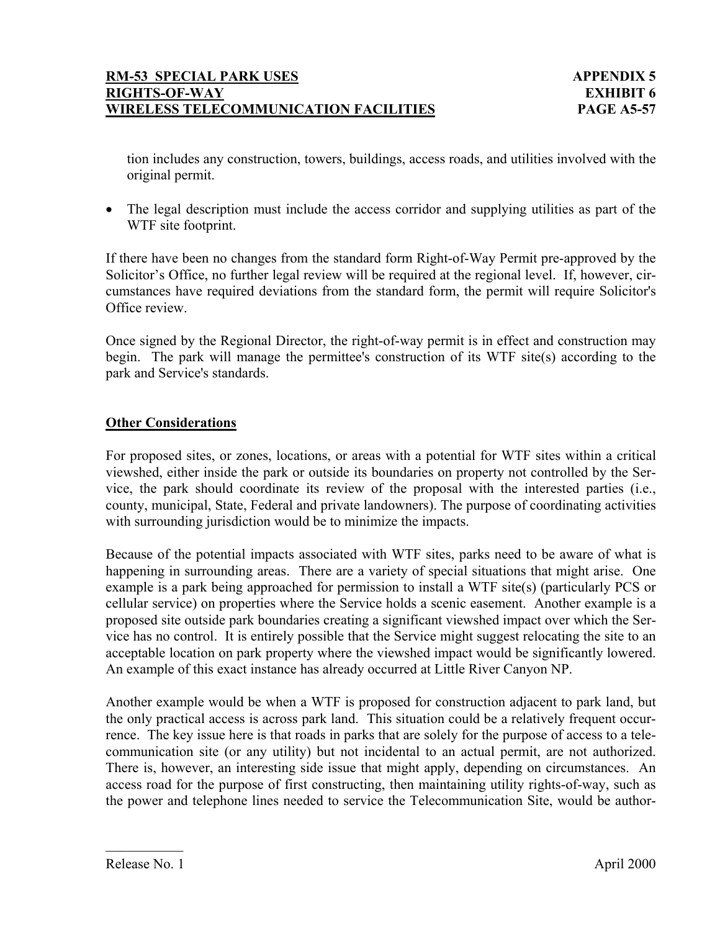tion includes any construction, towers, buildings, access roads, and utilities involved with the original permit.

• The legal description must include the access corridor and supplying utilities as part of the WTF site footprint.

If there have been no changes from the standard form Right-of-Way Permit pre-approved by the Solicitor's Office, no further legal review will be required at the regional level. If, however, circumstances have required deviations from the standard form, the permit will require Solicitor's Office review.

Once signed by the Regional Director, the right-of-way permit is in effect and construction may begin. The park will manage the permittee's construction of its WTF site(s) according to the park and Service's standards.

# **Other Considerations**

For proposed sites, or zones, locations, or areas with a potential for WTF sites within a critical viewshed, either inside the park or outside its boundaries on property not controlled by the Service, the park should coordinate its review of the proposal with the interested parties (i.e., county, municipal, State, Federal and private landowners). The purpose of coordinating activities with surrounding jurisdiction would be to minimize the impacts.

Because of the potential impacts associated with WTF sites, parks need to be aware of what is happening in surrounding areas. There are a variety of special situations that might arise. One example is a park being approached for permission to install a WTF site(s) (particularly PCS or cellular service) on properties where the Service holds a scenic easement. Another example is a proposed site outside park boundaries creating a significant viewshed impact over which the Service has no control. It is entirely possible that the Service might suggest relocating the site to an acceptable location on park property where the viewshed impact would be significantly lowered. An example of this exact instance has already occurred at Little River Canyon NP.

Another example would be when a WTF is proposed for construction adjacent to park land, but the only practical access is across park land. This situation could be a relatively frequent occurrence. The key issue here is that roads in parks that are solely for the purpose of access to a telecommunication site (or any utility) but not incidental to an actual permit, are not authorized. There is, however, an interesting side issue that might apply, depending on circumstances. An access road for the purpose of first constructing, then maintaining utility rights-of-way, such as the power and telephone lines needed to service the Telecommunication Site, would be author-